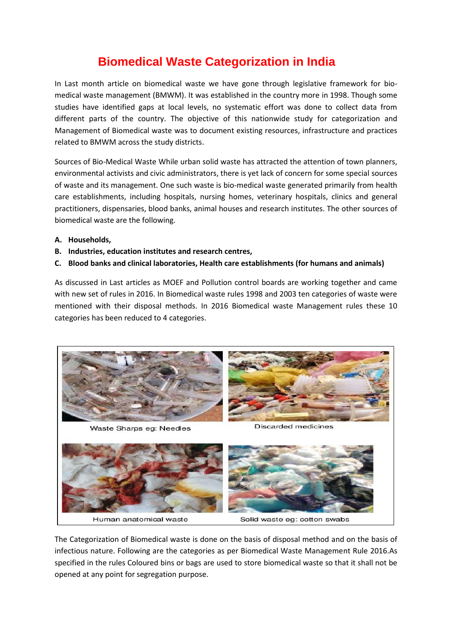## **Biomedical Waste Categorization in India**

In Last month article on biomedical waste we have gone through legislative framework for biomedical waste management (BMWM). It was established in the country more in 1998. Though some studies have identified gaps at local levels, no systematic effort was done to collect data from different parts of the country. The objective of this nationwide study for categorization and Management of Biomedical waste was to document existing resources, infrastructure and practices related to BMWM across the study districts.

Sources of Bio-Medical Waste While urban solid waste has attracted the attention of town planners, environmental activists and civic administrators, there is yet lack of concern for some special sources of waste and its management. One such waste is bio-medical waste generated primarily from health care establishments, including hospitals, nursing homes, veterinary hospitals, clinics and general practitioners, dispensaries, blood banks, animal houses and research institutes. The other sources of biomedical waste are the following.

- **A. Households,**
- **B. Industries, education institutes and research centres,**
- **C. Blood banks and clinical laboratories, Health care establishments (for humans and animals)**

As discussed in Last articles as MOEF and Pollution control boards are working together and came with new set of rules in 2016. In Biomedical waste rules 1998 and 2003 ten categories of waste were mentioned with their disposal methods. In 2016 Biomedical waste Management rules these 10 categories has been reduced to 4 categories.



The Categorization of Biomedical waste is done on the basis of disposal method and on the basis of infectious nature. Following are the categories as per Biomedical Waste Management Rule 2016.As specified in the rules Coloured bins or bags are used to store biomedical waste so that it shall not be opened at any point for segregation purpose.